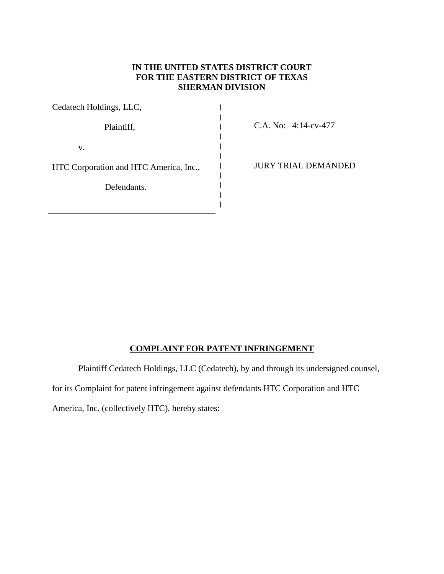## **IN THE UNITED STATES DISTRICT COURT FOR THE EASTERN DISTRICT OF TEXAS SHERMAN DIVISION**

| Cedatech Holdings, LLC,                |  |
|----------------------------------------|--|
|                                        |  |
| Plaintiff,                             |  |
|                                        |  |
| V.                                     |  |
|                                        |  |
| HTC Corporation and HTC America, Inc., |  |
|                                        |  |
| Defendants.                            |  |
|                                        |  |
|                                        |  |

C.A. No: 4:14-cv-477

JURY TRIAL DEMANDED

# **COMPLAINT FOR PATENT INFRINGEMENT**

Plaintiff Cedatech Holdings, LLC (Cedatech), by and through its undersigned counsel,

for its Complaint for patent infringement against defendants HTC Corporation and HTC

America, Inc. (collectively HTC), hereby states: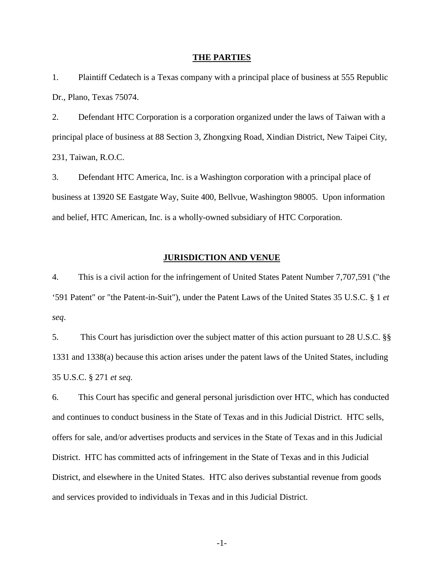### **THE PARTIES**

1. Plaintiff Cedatech is a Texas company with a principal place of business at 555 Republic Dr., Plano, Texas 75074.

2. Defendant HTC Corporation is a corporation organized under the laws of Taiwan with a principal place of business at 88 Section 3, Zhongxing Road, Xindian District, New Taipei City, 231, Taiwan, R.O.C.

3. Defendant HTC America, Inc. is a Washington corporation with a principal place of business at 13920 SE Eastgate Way, Suite 400, Bellvue, Washington 98005. Upon information and belief, HTC American, Inc. is a wholly-owned subsidiary of HTC Corporation.

## **JURISDICTION AND VENUE**

4. This is a civil action for the infringement of United States Patent Number 7,707,591 ("the '591 Patent" or "the Patent-in-Suit"), under the Patent Laws of the United States 35 U.S.C. § 1 *et seq*.

5. This Court has jurisdiction over the subject matter of this action pursuant to 28 U.S.C. §§ 1331 and 1338(a) because this action arises under the patent laws of the United States, including 35 U.S.C. § 271 *et seq*.

6. This Court has specific and general personal jurisdiction over HTC, which has conducted and continues to conduct business in the State of Texas and in this Judicial District. HTC sells, offers for sale, and/or advertises products and services in the State of Texas and in this Judicial District. HTC has committed acts of infringement in the State of Texas and in this Judicial District, and elsewhere in the United States. HTC also derives substantial revenue from goods and services provided to individuals in Texas and in this Judicial District.

-1-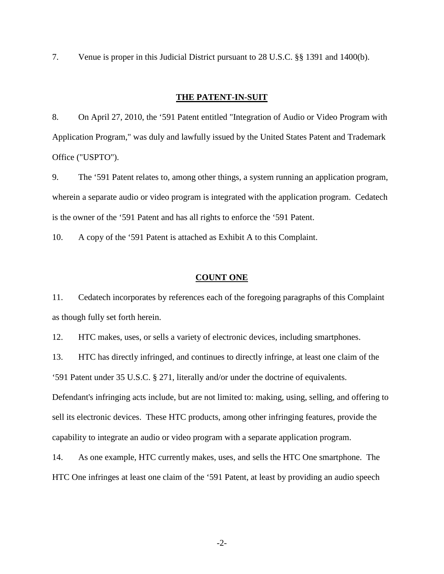7. Venue is proper in this Judicial District pursuant to 28 U.S.C. §§ 1391 and 1400(b).

## **THE PATENT-IN-SUIT**

8. On April 27, 2010, the '591 Patent entitled "Integration of Audio or Video Program with Application Program," was duly and lawfully issued by the United States Patent and Trademark Office ("USPTO").

9. The '591 Patent relates to, among other things, a system running an application program, wherein a separate audio or video program is integrated with the application program. Cedatech is the owner of the '591 Patent and has all rights to enforce the '591 Patent.

10. A copy of the '591 Patent is attached as Exhibit A to this Complaint.

## **COUNT ONE**

11. Cedatech incorporates by references each of the foregoing paragraphs of this Complaint as though fully set forth herein.

12. HTC makes, uses, or sells a variety of electronic devices, including smartphones.

13. HTC has directly infringed, and continues to directly infringe, at least one claim of the

'591 Patent under 35 U.S.C. § 271, literally and/or under the doctrine of equivalents.

Defendant's infringing acts include, but are not limited to: making, using, selling, and offering to sell its electronic devices. These HTC products, among other infringing features, provide the capability to integrate an audio or video program with a separate application program.

14. As one example, HTC currently makes, uses, and sells the HTC One smartphone. The HTC One infringes at least one claim of the '591 Patent, at least by providing an audio speech

-2-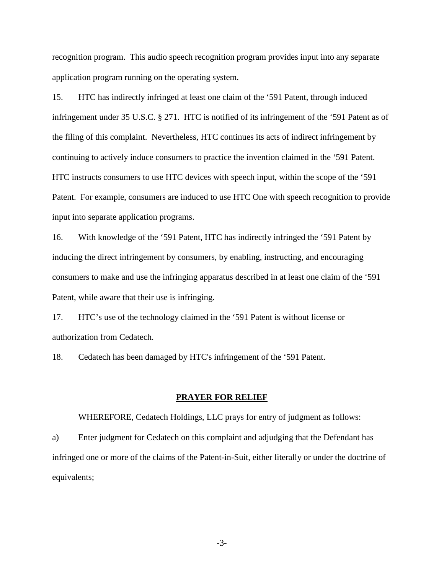recognition program. This audio speech recognition program provides input into any separate application program running on the operating system.

15. HTC has indirectly infringed at least one claim of the '591 Patent, through induced infringement under 35 U.S.C. § 271. HTC is notified of its infringement of the '591 Patent as of the filing of this complaint. Nevertheless, HTC continues its acts of indirect infringement by continuing to actively induce consumers to practice the invention claimed in the '591 Patent. HTC instructs consumers to use HTC devices with speech input, within the scope of the '591 Patent. For example, consumers are induced to use HTC One with speech recognition to provide input into separate application programs.

16. With knowledge of the '591 Patent, HTC has indirectly infringed the '591 Patent by inducing the direct infringement by consumers, by enabling, instructing, and encouraging consumers to make and use the infringing apparatus described in at least one claim of the '591 Patent, while aware that their use is infringing.

17. HTC's use of the technology claimed in the '591 Patent is without license or authorization from Cedatech.

18. Cedatech has been damaged by HTC's infringement of the '591 Patent.

### **PRAYER FOR RELIEF**

WHEREFORE, Cedatech Holdings, LLC prays for entry of judgment as follows:

a) Enter judgment for Cedatech on this complaint and adjudging that the Defendant has infringed one or more of the claims of the Patent-in-Suit, either literally or under the doctrine of equivalents;

-3-